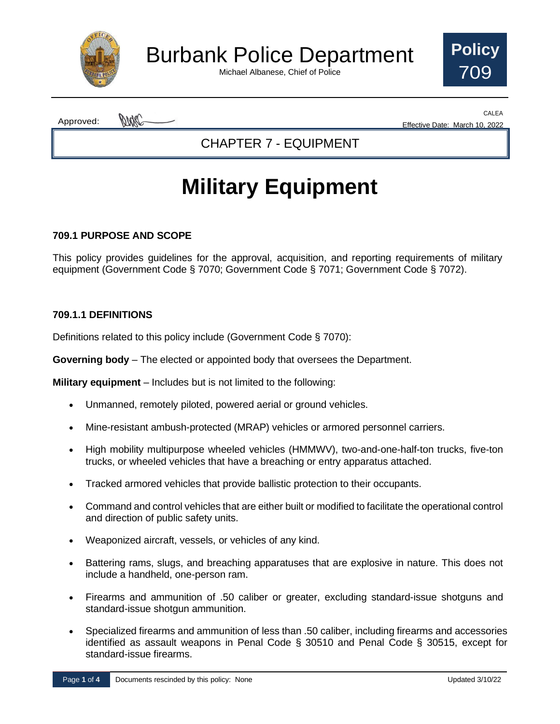

Burbank Police Department

Michael Albanese, Chief of Police



pmc Approved:

CALEA Effective Date: March 10, 2022

CHAPTER 7 - EQUIPMENT

# **Military Equipment**

#### **709.1 PURPOSE AND SCOPE**

This policy provides guidelines for the approval, acquisition, and reporting requirements of military equipment (Government Code § 7070; Government Code § 7071; Government Code § 7072).

#### **709.1.1 DEFINITIONS**

Definitions related to this policy include (Government Code § 7070):

**Governing body** – The elected or appointed body that oversees the Department.

**Military equipment** – Includes but is not limited to the following:

- Unmanned, remotely piloted, powered aerial or ground vehicles.
- Mine-resistant ambush-protected (MRAP) vehicles or armored personnel carriers.
- High mobility multipurpose wheeled vehicles (HMMWV), two-and-one-half-ton trucks, five-ton trucks, or wheeled vehicles that have a breaching or entry apparatus attached.
- Tracked armored vehicles that provide ballistic protection to their occupants.
- Command and control vehicles that are either built or modified to facilitate the operational control and direction of public safety units.
- Weaponized aircraft, vessels, or vehicles of any kind.
- Battering rams, slugs, and breaching apparatuses that are explosive in nature. This does not include a handheld, one-person ram.
- Firearms and ammunition of .50 caliber or greater, excluding standard-issue shotguns and standard-issue shotgun ammunition.
- Specialized firearms and ammunition of less than .50 caliber, including firearms and accessories identified as assault weapons in Penal Code § 30510 and Penal Code § 30515, except for standard-issue firearms.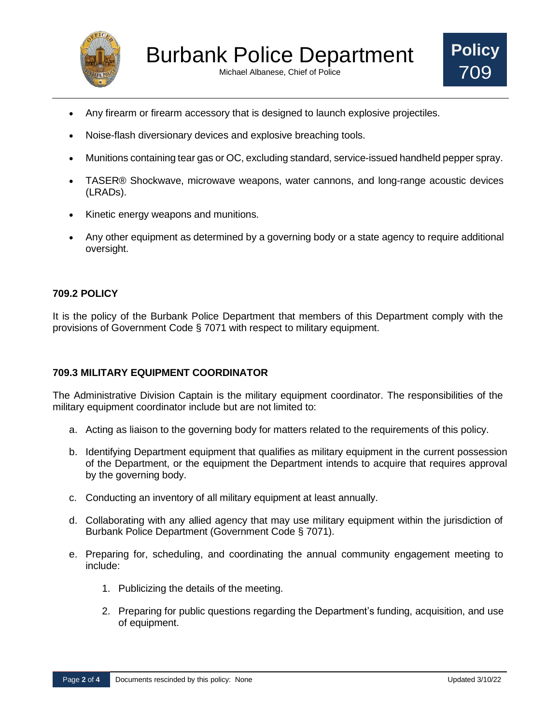

Michael Albanese, Chief of Police



- Any firearm or firearm accessory that is designed to launch explosive projectiles.
- Noise-flash diversionary devices and explosive breaching tools.
- Munitions containing tear gas or OC, excluding standard, service-issued handheld pepper spray.
- TASER® Shockwave, microwave weapons, water cannons, and long-range acoustic devices (LRADs).
- Kinetic energy weapons and munitions.
- Any other equipment as determined by a governing body or a state agency to require additional oversight.

#### **709.2 POLICY**

It is the policy of the Burbank Police Department that members of this Department comply with the provisions of Government Code § 7071 with respect to military equipment.

#### **709.3 MILITARY EQUIPMENT COORDINATOR**

The Administrative Division Captain is the military equipment coordinator. The responsibilities of the military equipment coordinator include but are not limited to:

- a. Acting as liaison to the governing body for matters related to the requirements of this policy.
- b. Identifying Department equipment that qualifies as military equipment in the current possession of the Department, or the equipment the Department intends to acquire that requires approval by the governing body.
- c. Conducting an inventory of all military equipment at least annually.
- d. Collaborating with any allied agency that may use military equipment within the jurisdiction of Burbank Police Department (Government Code § 7071).
- e. Preparing for, scheduling, and coordinating the annual community engagement meeting to include:
	- 1. Publicizing the details of the meeting.
	- 2. Preparing for public questions regarding the Department's funding, acquisition, and use of equipment.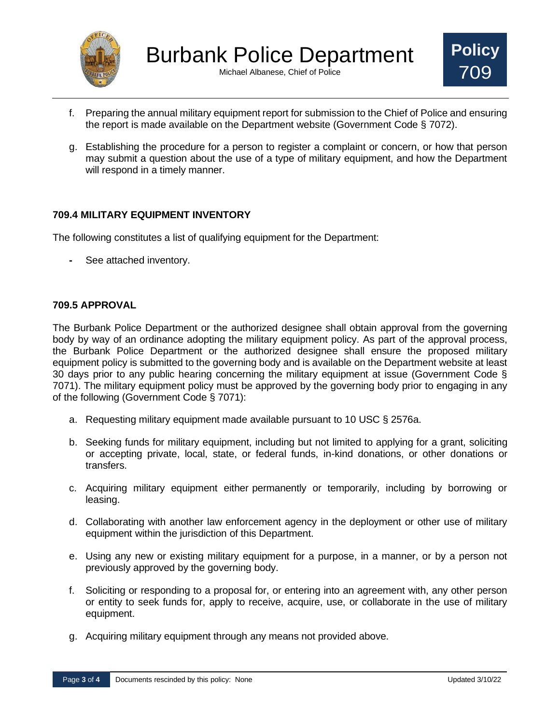

Michael Albanese, Chief of Police



- f. Preparing the annual military equipment report for submission to the Chief of Police and ensuring the report is made available on the Department website (Government Code § 7072).
- g. Establishing the procedure for a person to register a complaint or concern, or how that person may submit a question about the use of a type of military equipment, and how the Department will respond in a timely manner.

#### **709.4 MILITARY EQUIPMENT INVENTORY**

The following constitutes a list of qualifying equipment for the Department:

**-** See attached inventory.

#### **709.5 APPROVAL**

The Burbank Police Department or the authorized designee shall obtain approval from the governing body by way of an ordinance adopting the military equipment policy. As part of the approval process, the Burbank Police Department or the authorized designee shall ensure the proposed military equipment policy is submitted to the governing body and is available on the Department website at least 30 days prior to any public hearing concerning the military equipment at issue (Government Code § 7071). The military equipment policy must be approved by the governing body prior to engaging in any of the following (Government Code § 7071):

- a. Requesting military equipment made available pursuant to 10 USC § 2576a.
- b. Seeking funds for military equipment, including but not limited to applying for a grant, soliciting or accepting private, local, state, or federal funds, in-kind donations, or other donations or transfers.
- c. Acquiring military equipment either permanently or temporarily, including by borrowing or leasing.
- d. Collaborating with another law enforcement agency in the deployment or other use of military equipment within the jurisdiction of this Department.
- e. Using any new or existing military equipment for a purpose, in a manner, or by a person not previously approved by the governing body.
- f. Soliciting or responding to a proposal for, or entering into an agreement with, any other person or entity to seek funds for, apply to receive, acquire, use, or collaborate in the use of military equipment.
- g. Acquiring military equipment through any means not provided above.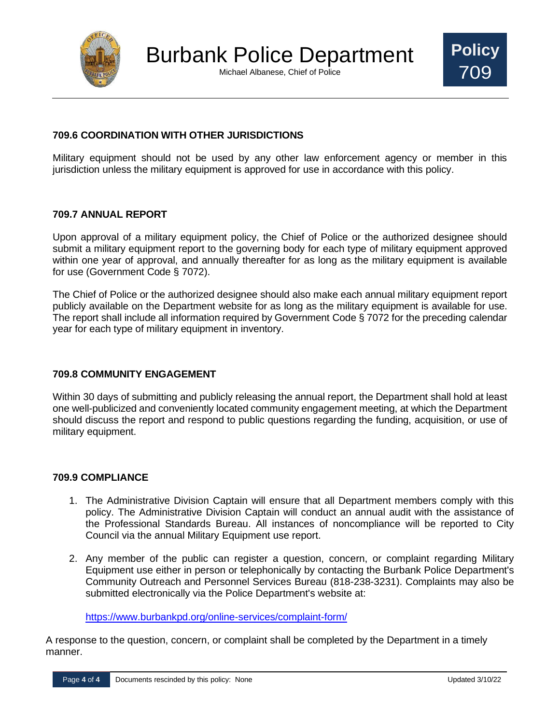

Michael Albanese, Chief of Police



#### **709.6 COORDINATION WITH OTHER JURISDICTIONS**

Military equipment should not be used by any other law enforcement agency or member in this jurisdiction unless the military equipment is approved for use in accordance with this policy.

#### **709.7 ANNUAL REPORT**

Upon approval of a military equipment policy, the Chief of Police or the authorized designee should submit a military equipment report to the governing body for each type of military equipment approved within one year of approval, and annually thereafter for as long as the military equipment is available for use (Government Code § 7072).

The Chief of Police or the authorized designee should also make each annual military equipment report publicly available on the Department website for as long as the military equipment is available for use. The report shall include all information required by Government Code § 7072 for the preceding calendar year for each type of military equipment in inventory.

#### **709.8 COMMUNITY ENGAGEMENT**

Within 30 days of submitting and publicly releasing the annual report, the Department shall hold at least one well-publicized and conveniently located community engagement meeting, at which the Department should discuss the report and respond to public questions regarding the funding, acquisition, or use of military equipment.

#### **709.9 COMPLIANCE**

- 1. The Administrative Division Captain will ensure that all Department members comply with this policy. The Administrative Division Captain will conduct an annual audit with the assistance of the Professional Standards Bureau. All instances of noncompliance will be reported to City Council via the annual Military Equipment use report.
- 2. Any member of the public can register a question, concern, or complaint regarding Military Equipment use either in person or telephonically by contacting the Burbank Police Department's Community Outreach and Personnel Services Bureau (818-238-3231). Complaints may also be submitted electronically via the Police Department's website at:

<https://www.burbankpd.org/online-services/complaint-form/>

A response to the question, concern, or complaint shall be completed by the Department in a timely manner.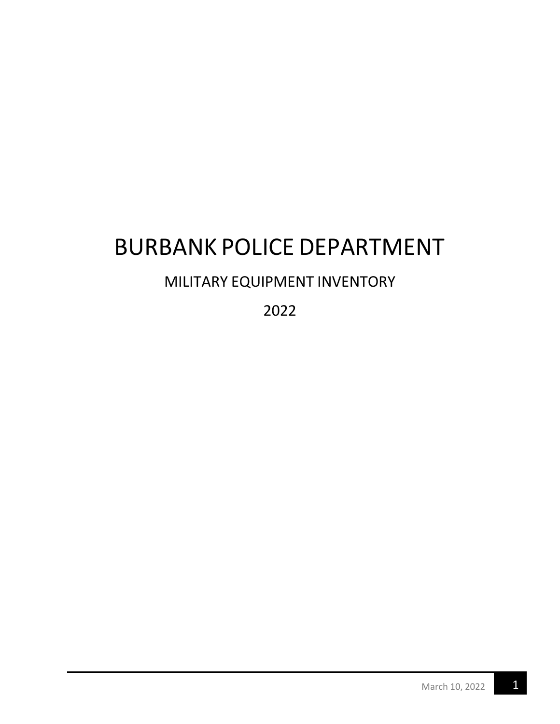# BURBANK POLICE DEPARTMENT

### MILITARY EQUIPMENT INVENTORY

2022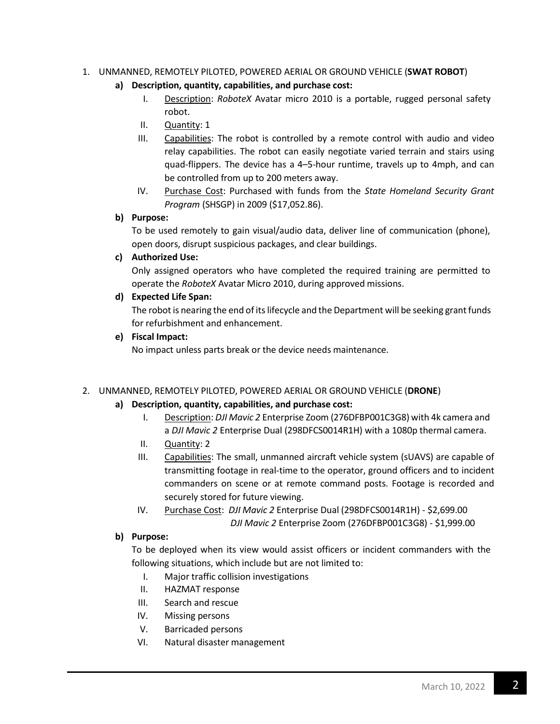#### 1. UNMANNED, REMOTELY PILOTED, POWERED AERIAL OR GROUND VEHICLE (**SWAT ROBOT**)

- **a) Description, quantity, capabilities, and purchase cost:**
	- I. Description: *RoboteX* Avatar micro 2010 is a portable, rugged personal safety robot.
	- II. Quantity: 1
	- III. Capabilities: The robot is controlled by a remote control with audio and video relay capabilities. The robot can easily negotiate varied terrain and stairs using quad-flippers. The device has a 4–5-hour runtime, travels up to 4mph, and can be controlled from up to 200 meters away.
	- IV. Purchase Cost: Purchased with funds from the *State Homeland Security Grant Program* (SHSGP) in 2009 (\$17,052.86).

#### **b) Purpose:**

To be used remotely to gain visual/audio data, deliver line of communication (phone), open doors, disrupt suspicious packages, and clear buildings.

#### **c) Authorized Use:**

Only assigned operators who have completed the required training are permitted to operate the *RoboteX* Avatar Micro 2010, during approved missions.

#### **d) Expected Life Span:**

The robot is nearing the end of its lifecycle and the Department will be seeking grant funds for refurbishment and enhancement.

**e) Fiscal Impact:**

No impact unless parts break or the device needs maintenance.

#### 2. UNMANNED, REMOTELY PILOTED, POWERED AERIAL OR GROUND VEHICLE (**DRONE**)

#### **a) Description, quantity, capabilities, and purchase cost:**

- I. Description: *DJI Mavic 2* Enterprise Zoom (276DFBP001C3G8) with 4k camera and a *DJI Mavic 2* Enterprise Dual (298DFCS0014R1H) with a 1080p thermal camera.
- II. Quantity: 2
- III. Capabilities: The small, unmanned aircraft vehicle system (sUAVS) are capable of transmitting footage in real-time to the operator, ground officers and to incident commanders on scene or at remote command posts. Footage is recorded and securely stored for future viewing.
- IV. Purchase Cost: *DJI Mavic 2* Enterprise Dual (298DFCS0014R1H) \$2,699.00 *DJI Mavic 2* Enterprise Zoom (276DFBP001C3G8) - \$1,999.00

#### **b) Purpose:**

To be deployed when its view would assist officers or incident commanders with the following situations, which include but are not limited to:

- I. Major traffic collision investigations
- II. HAZMAT response
- III. Search and rescue
- IV. Missing persons
- V. Barricaded persons
- VI. Natural disaster management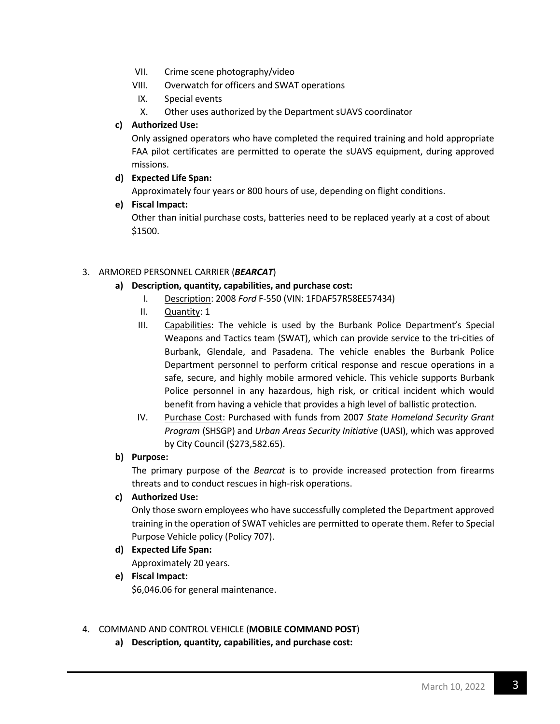- VII. Crime scene photography/video
- VIII. Overwatch for officers and SWAT operations
- IX. Special events
- X. Other uses authorized by the Department sUAVS coordinator

#### **c) Authorized Use:**

Only assigned operators who have completed the required training and hold appropriate FAA pilot certificates are permitted to operate the sUAVS equipment, during approved missions.

#### **d) Expected Life Span:**

Approximately four years or 800 hours of use, depending on flight conditions.

**e) Fiscal Impact:**

Other than initial purchase costs, batteries need to be replaced yearly at a cost of about \$1500.

#### 3. ARMORED PERSONNEL CARRIER (*BEARCAT*)

- **a) Description, quantity, capabilities, and purchase cost:**
	- I. Description: 2008 *Ford* F-550 (VIN: 1FDAF57R58EE57434)
	- II. **Quantity: 1**
	- III. Capabilities: The vehicle is used by the Burbank Police Department's Special Weapons and Tactics team (SWAT), which can provide service to the tri-cities of Burbank, Glendale, and Pasadena. The vehicle enables the Burbank Police Department personnel to perform critical response and rescue operations in a safe, secure, and highly mobile armored vehicle. This vehicle supports Burbank Police personnel in any hazardous, high risk, or critical incident which would benefit from having a vehicle that provides a high level of ballistic protection.
	- IV. Purchase Cost: Purchased with funds from 2007 *State Homeland Security Grant Program* (SHSGP) and *Urban Areas Security Initiative* (UASI), which was approved by City Council (\$273,582.65).

#### **b) Purpose:**

The primary purpose of the *Bearcat* is to provide increased protection from firearms threats and to conduct rescues in high-risk operations.

#### **c) Authorized Use:**

Only those sworn employees who have successfully completed the Department approved training in the operation of SWAT vehicles are permitted to operate them. Refer to Special Purpose Vehicle policy (Policy 707).

**d) Expected Life Span:**

Approximately 20 years.

**e) Fiscal Impact:** \$6,046.06 for general maintenance.

#### 4. COMMAND AND CONTROL VEHICLE (**MOBILE COMMAND POST**)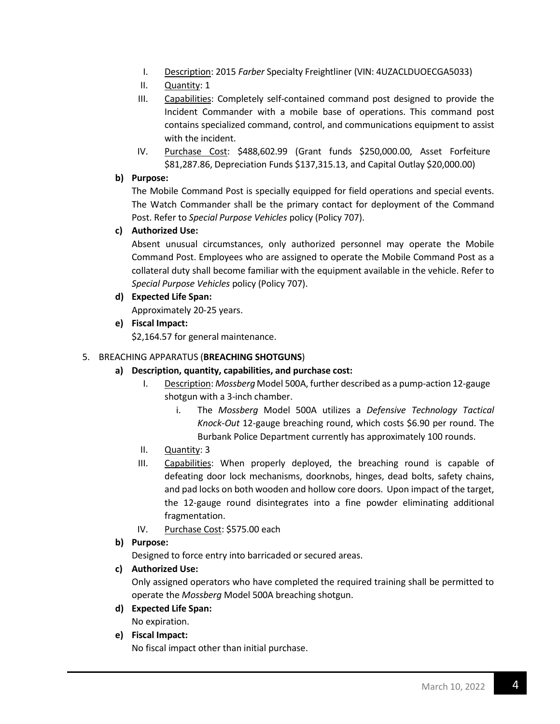- I. Description: 2015 *Farber* Specialty Freightliner (VIN: 4UZACLDUOECGA5033)
- II. Quantity: 1
- III. Capabilities: Completely self-contained command post designed to provide the Incident Commander with a mobile base of operations. This command post contains specialized command, control, and communications equipment to assist with the incident.
- IV. Purchase Cost: \$488,602.99 (Grant funds \$250,000.00, Asset Forfeiture \$81,287.86, Depreciation Funds \$137,315.13, and Capital Outlay \$20,000.00)

#### **b) Purpose:**

The Mobile Command Post is specially equipped for field operations and special events. The Watch Commander shall be the primary contact for deployment of the Command Post. Refer to *Special Purpose Vehicles* policy (Policy 707).

#### **c) Authorized Use:**

Absent unusual circumstances, only authorized personnel may operate the Mobile Command Post. Employees who are assigned to operate the Mobile Command Post as a collateral duty shall become familiar with the equipment available in the vehicle. Refer to *Special Purpose Vehicles* policy (Policy 707).

**d) Expected Life Span:**

Approximately 20-25 years.

**e) Fiscal Impact:**

\$2,164.57 for general maintenance.

#### 5. BREACHING APPARATUS (**BREACHING SHOTGUNS**)

- **a) Description, quantity, capabilities, and purchase cost:**
	- I. Description: *Mossberg* Model 500A, further described as a pump-action 12-gauge shotgun with a 3-inch chamber.
		- i. The *Mossberg* Model 500A utilizes a *Defensive Technology Tactical Knock-Out* 12-gauge breaching round, which costs \$6.90 per round. The Burbank Police Department currently has approximately 100 rounds.
	- II. Quantity: 3
	- III. Capabilities: When properly deployed, the breaching round is capable of defeating door lock mechanisms, doorknobs, hinges, dead bolts, safety chains, and pad locks on both wooden and hollow core doors. Upon impact of the target, the 12-gauge round disintegrates into a fine powder eliminating additional fragmentation.
	- IV. Purchase Cost: \$575.00 each
- **b) Purpose:**

Designed to force entry into barricaded or secured areas.

#### **c) Authorized Use:**

Only assigned operators who have completed the required training shall be permitted to operate the *Mossberg* Model 500A breaching shotgun.

**d) Expected Life Span:**

No expiration.

**e) Fiscal Impact:**

No fiscal impact other than initial purchase.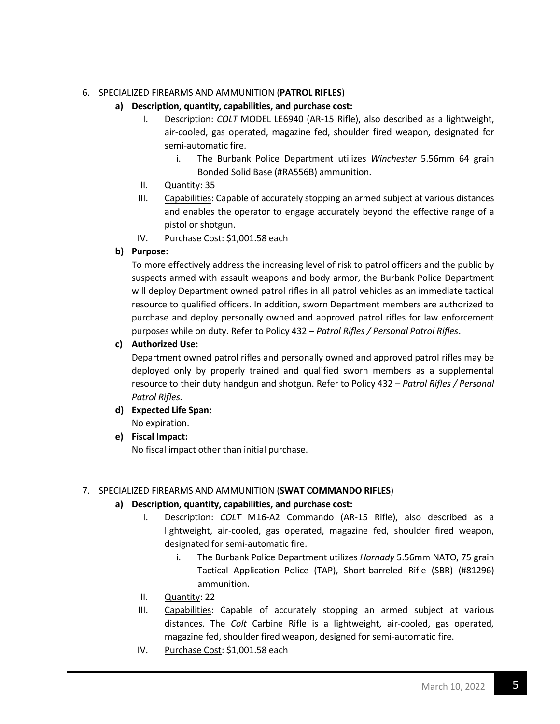#### 6. SPECIALIZED FIREARMS AND AMMUNITION (**PATROL RIFLES**)

#### **a) Description, quantity, capabilities, and purchase cost:**

- I. Description: *COLT* MODEL LE6940 (AR-15 Rifle), also described as a lightweight, air-cooled, gas operated, magazine fed, shoulder fired weapon, designated for semi-automatic fire.
	- i. The Burbank Police Department utilizes *Winchester* 5.56mm 64 grain Bonded Solid Base (#RA556B) ammunition.
- II. Quantity: 35
- III. Capabilities: Capable of accurately stopping an armed subject at various distances and enables the operator to engage accurately beyond the effective range of a pistol or shotgun.
- IV. Purchase Cost: \$1,001.58 each

#### **b) Purpose:**

To more effectively address the increasing level of risk to patrol officers and the public by suspects armed with assault weapons and body armor, the Burbank Police Department will deploy Department owned patrol rifles in all patrol vehicles as an immediate tactical resource to qualified officers. In addition, sworn Department members are authorized to purchase and deploy personally owned and approved patrol rifles for law enforcement purposes while on duty. Refer to Policy 432 – *Patrol Rifles / Personal Patrol Rifles*.

#### **c) Authorized Use:**

Department owned patrol rifles and personally owned and approved patrol rifles may be deployed only by properly trained and qualified sworn members as a supplemental resource to their duty handgun and shotgun. Refer to Policy 432 – *Patrol Rifles / Personal Patrol Rifles.*

- **d) Expected Life Span:** No expiration.
- **e) Fiscal Impact:**

No fiscal impact other than initial purchase.

#### 7. SPECIALIZED FIREARMS AND AMMUNITION (**SWAT COMMANDO RIFLES**)

- I. Description: *COLT* M16-A2 Commando (AR-15 Rifle), also described as a lightweight, air-cooled, gas operated, magazine fed, shoulder fired weapon, designated for semi-automatic fire.
	- i. The Burbank Police Department utilizes *Hornady* 5.56mm NATO, 75 grain Tactical Application Police (TAP), Short-barreled Rifle (SBR) (#81296) ammunition.
- II. Quantity: 22
- III. Capabilities: Capable of accurately stopping an armed subject at various distances. The *Colt* Carbine Rifle is a lightweight, air-cooled, gas operated, magazine fed, shoulder fired weapon, designed for semi-automatic fire.
- IV. Purchase Cost: \$1,001.58 each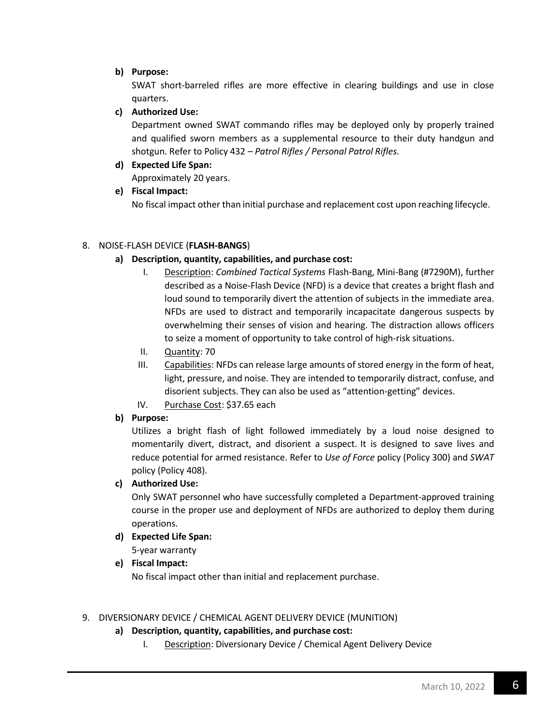#### **b) Purpose:**

SWAT short-barreled rifles are more effective in clearing buildings and use in close quarters.

#### **c) Authorized Use:**

Department owned SWAT commando rifles may be deployed only by properly trained and qualified sworn members as a supplemental resource to their duty handgun and shotgun. Refer to Policy 432 – *Patrol Rifles / Personal Patrol Rifles.*

### **d) Expected Life Span:**

Approximately 20 years.

#### **e) Fiscal Impact:**

No fiscal impact other than initial purchase and replacement cost upon reaching lifecycle.

#### 8. NOISE-FLASH DEVICE (**FLASH-BANGS**)

#### **a) Description, quantity, capabilities, and purchase cost:**

- I. Description: *Combined Tactical Systems* Flash-Bang, Mini-Bang (#7290M), further described as a Noise-Flash Device (NFD) is a device that creates a bright flash and loud sound to temporarily divert the attention of subjects in the immediate area. NFDs are used to distract and temporarily incapacitate dangerous suspects by overwhelming their senses of vision and hearing. The distraction allows officers to seize a moment of opportunity to take control of high-risk situations.
- II. Quantity: 70
- III. Capabilities: NFDs can release large amounts of stored energy in the form of heat, light, pressure, and noise. They are intended to temporarily distract, confuse, and disorient subjects. They can also be used as "attention-getting" devices.
- IV. Purchase Cost: \$37.65 each

#### **b) Purpose:**

Utilizes a bright flash of light followed immediately by a loud noise designed to momentarily divert, distract, and disorient a suspect. It is designed to save lives and reduce potential for armed resistance. Refer to *Use of Force* policy (Policy 300) and *SWAT* policy (Policy 408).

#### **c) Authorized Use:**

Only SWAT personnel who have successfully completed a Department-approved training course in the proper use and deployment of NFDs are authorized to deploy them during operations.

**d) Expected Life Span:**

5-year warranty

#### **e) Fiscal Impact:**

No fiscal impact other than initial and replacement purchase.

#### 9. DIVERSIONARY DEVICE / CHEMICAL AGENT DELIVERY DEVICE (MUNITION)

#### **a) Description, quantity, capabilities, and purchase cost:**

I. Description: Diversionary Device / Chemical Agent Delivery Device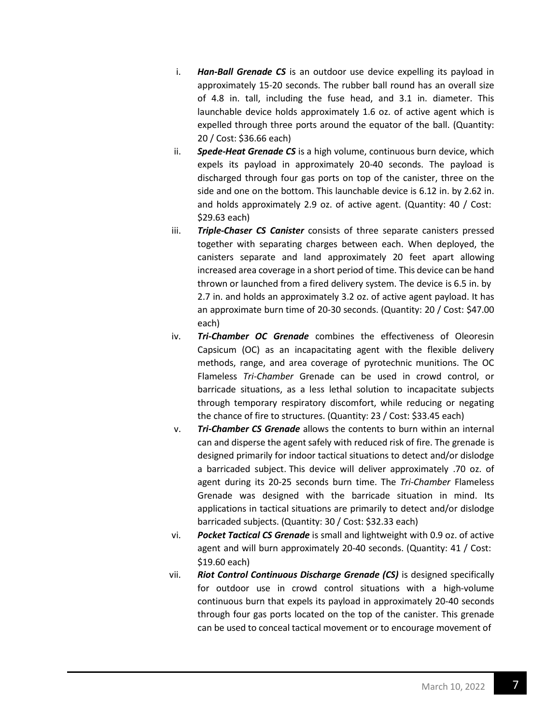- i. *Han-Ball Grenade CS* is an outdoor use device expelling its payload in approximately 15-20 seconds. The rubber ball round has an overall size of 4.8 in. tall, including the fuse head, and 3.1 in. diameter. This launchable device holds approximately 1.6 oz. of active agent which is expelled through three ports around the equator of the ball. (Quantity: 20 / Cost: \$36.66 each)
- ii. *Spede-Heat Grenade CS* is a high volume, continuous burn device, which expels its payload in approximately 20-40 seconds. The payload is discharged through four gas ports on top of the canister, three on the side and one on the bottom. This launchable device is 6.12 in. by 2.62 in. and holds approximately 2.9 oz. of active agent. (Quantity: 40 / Cost: \$29.63 each)
- iii. *Triple-Chaser CS Canister* consists of three separate canisters pressed together with separating charges between each. When deployed, the canisters separate and land approximately 20 feet apart allowing increased area coverage in a short period of time. This device can be hand thrown or launched from a fired delivery system. The device is 6.5 in. by 2.7 in. and holds an approximately 3.2 oz. of active agent payload. It has an approximate burn time of 20-30 seconds. (Quantity: 20 / Cost: \$47.00 each)
- iv. *Tri-Chamber OC Grenade* combines the effectiveness of Oleoresin Capsicum (OC) as an incapacitating agent with the flexible delivery methods, range, and area coverage of pyrotechnic munitions. The OC Flameless *Tri-Chamber* Grenade can be used in crowd control, or barricade situations, as a less lethal solution to incapacitate subjects through temporary respiratory discomfort, while reducing or negating the chance of fire to structures. (Quantity: 23 / Cost: \$33.45 each)
- v. *Tri-Chamber CS Grenade* allows the contents to burn within an internal can and disperse the agent safely with reduced risk of fire. The grenade is designed primarily for indoor tactical situations to detect and/or dislodge a barricaded subject. This device will deliver approximately .70 oz. of agent during its 20-25 seconds burn time. The *Tri-Chamber* Flameless Grenade was designed with the barricade situation in mind. Its applications in tactical situations are primarily to detect and/or dislodge barricaded subjects. (Quantity: 30 / Cost: \$32.33 each)
- vi. *Pocket Tactical CS Grenade* is small and lightweight with 0.9 oz. of active agent and will burn approximately 20-40 seconds. (Quantity: 41 / Cost: \$19.60 each)
- vii. *Riot Control Continuous Discharge Grenade (CS)* is designed specifically for outdoor use in crowd control situations with a high-volume continuous burn that expels its payload in approximately 20-40 seconds through four gas ports located on the top of the canister. This grenade can be used to conceal tactical movement or to encourage movement of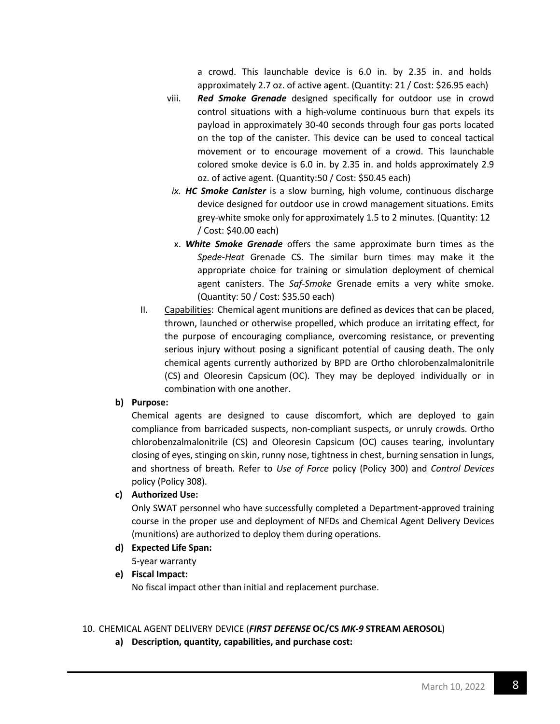a crowd. This launchable device is 6.0 in. by 2.35 in. and holds approximately 2.7 oz. of active agent. (Quantity: 21 / Cost: \$26.95 each)

- viii. *Red Smoke Grenade* designed specifically for outdoor use in crowd control situations with a high-volume continuous burn that expels its payload in approximately 30-40 seconds through four gas ports located on the top of the canister. This device can be used to conceal tactical movement or to encourage movement of a crowd. This launchable colored smoke device is 6.0 in. by 2.35 in. and holds approximately 2.9 oz. of active agent. (Quantity:50 / Cost: \$50.45 each)
	- *ix. HC Smoke Canister* is a slow burning, high volume, continuous discharge device designed for outdoor use in crowd management situations. Emits grey-white smoke only for approximately 1.5 to 2 minutes. (Quantity: 12 / Cost: \$40.00 each)
	- x. *White Smoke Grenade* offers the same approximate burn times as the *Spede-Heat* Grenade CS. The similar burn times may make it the appropriate choice for training or simulation deployment of chemical agent canisters. The *Saf-Smoke* Grenade emits a very white smoke. (Quantity: 50 / Cost: \$35.50 each)
- II. Capabilities: Chemical agent munitions are defined as devices that can be placed, thrown, launched or otherwise propelled, which produce an irritating effect, for the purpose of encouraging compliance, overcoming resistance, or preventing serious injury without posing a significant potential of causing death. The only chemical agents currently authorized by BPD are Ortho chlorobenzalmalonitrile (CS) and Oleoresin Capsicum (OC). They may be deployed individually or in combination with one another.

#### **b) Purpose:**

Chemical agents are designed to cause discomfort, which are deployed to gain compliance from barricaded suspects, non-compliant suspects, or unruly crowds. Ortho chlorobenzalmalonitrile (CS) and Oleoresin Capsicum (OC) causes tearing, involuntary closing of eyes, stinging on skin, runny nose, tightness in chest, burning sensation in lungs, and shortness of breath. Refer to *Use of Force* policy (Policy 300) and *Control Devices* policy (Policy 308).

#### **c) Authorized Use:**

Only SWAT personnel who have successfully completed a Department-approved training course in the proper use and deployment of NFDs and Chemical Agent Delivery Devices (munitions) are authorized to deploy them during operations.

**d) Expected Life Span:**

5-year warranty

#### **e) Fiscal Impact:**

No fiscal impact other than initial and replacement purchase.

#### 10. CHEMICAL AGENT DELIVERY DEVICE (*FIRST DEFENSE* **OC/CS** *MK-9* **STREAM AEROSOL**)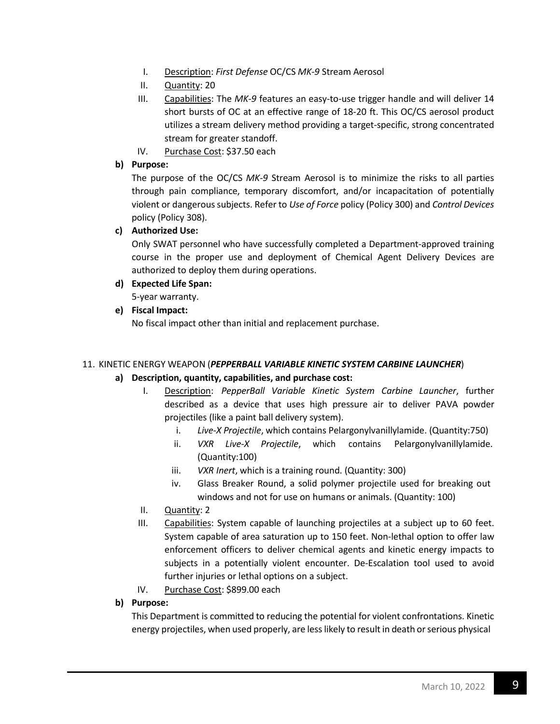- I. Description: *First Defense* OC/CS *MK-9* Stream Aerosol
- II. Quantity: 20
- III. Capabilities: The *MK-9* features an easy-to-use trigger handle and will deliver 14 short bursts of OC at an effective range of 18-20 ft. This OC/CS aerosol product utilizes a stream delivery method providing a target-specific, strong concentrated stream for greater standoff.
- IV. Purchase Cost: \$37.50 each

#### **b) Purpose:**

The purpose of the OC/CS *MK-9* Stream Aerosol is to minimize the risks to all parties through pain compliance, temporary discomfort, and/or incapacitation of potentially violent or dangeroussubjects. Refer to *Use of Force* policy (Policy 300) and *Control Devices* policy (Policy 308).

#### **c) Authorized Use:**

Only SWAT personnel who have successfully completed a Department-approved training course in the proper use and deployment of Chemical Agent Delivery Devices are authorized to deploy them during operations.

#### **d) Expected Life Span:**

5-year warranty.

#### **e) Fiscal Impact:**

No fiscal impact other than initial and replacement purchase.

#### 11. KINETIC ENERGY WEAPON (*PEPPERBALL VARIABLE KINETIC SYSTEM CARBINE LAUNCHER*)

#### **a) Description, quantity, capabilities, and purchase cost:**

- I. Description: *PepperBall Variable Kinetic System Carbine Launcher*, further described as a device that uses high pressure air to deliver PAVA powder projectiles (like a paint ball delivery system).
	- i. *Live-X Projectile*, which contains Pelargonylvanillylamide. (Quantity:750)
	- ii. *VXR Live-X Projectile*, which contains Pelargonylvanillylamide. (Quantity:100)
	- iii. *VXR Inert*, which is a training round. (Quantity: 300)
	- iv. Glass Breaker Round, a solid polymer projectile used for breaking out windows and not for use on humans or animals. (Quantity: 100)
- II. Quantity: 2
- III. Capabilities: System capable of launching projectiles at a subject up to 60 feet. System capable of area saturation up to 150 feet. Non-lethal option to offer law enforcement officers to deliver chemical agents and kinetic energy impacts to subjects in a potentially violent encounter. De-Escalation tool used to avoid further injuries or lethal options on a subject.
- IV. Purchase Cost: \$899.00 each

#### **b) Purpose:**

This Department is committed to reducing the potential for violent confrontations. Kinetic energy projectiles, when used properly, are less likely to result in death or serious physical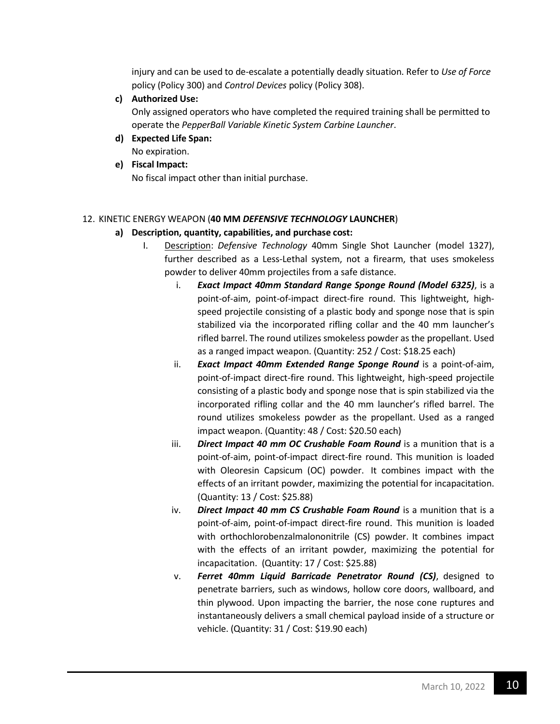injury and can be used to de-escalate a potentially deadly situation. Refer to *Use of Force* policy (Policy 300) and *Control Devices* policy (Policy 308).

**c) Authorized Use:**

Only assigned operators who have completed the required training shall be permitted to operate the *PepperBall Variable Kinetic System Carbine Launcher*.

- **d) Expected Life Span:** No expiration.
- **e) Fiscal Impact:**

No fiscal impact other than initial purchase.

#### 12. KINETIC ENERGY WEAPON (**40 MM** *DEFENSIVE TECHNOLOGY* **LAUNCHER**)

- I. Description: *Defensive Technology* 40mm Single Shot Launcher (model 1327), further described as a Less-Lethal system, not a firearm, that uses smokeless powder to deliver 40mm projectiles from a safe distance.
	- i. *Exact Impact 40mm Standard Range Sponge Round (Model 6325)*, is a point-of-aim, point-of-impact direct-fire round. This lightweight, highspeed projectile consisting of a plastic body and sponge nose that is spin stabilized via the incorporated rifling collar and the 40 mm launcher's rifled barrel. The round utilizes smokeless powder as the propellant. Used as a ranged impact weapon. (Quantity: 252 / Cost: \$18.25 each)
	- ii. *Exact Impact 40mm Extended Range Sponge Round* is a point-of-aim, point-of-impact direct-fire round. This lightweight, high-speed projectile consisting of a plastic body and sponge nose that is spin stabilized via the incorporated rifling collar and the 40 mm launcher's rifled barrel. The round utilizes smokeless powder as the propellant. Used as a ranged impact weapon. (Quantity: 48 / Cost: \$20.50 each)
	- iii. *Direct Impact 40 mm OC Crushable Foam Round* is a munition that is a point-of-aim, point-of-impact direct-fire round. This munition is loaded with Oleoresin Capsicum (OC) powder. It combines impact with the effects of an irritant powder, maximizing the potential for incapacitation. (Quantity: 13 / Cost: \$25.88)
	- iv. *Direct Impact 40 mm CS Crushable Foam Round* is a munition that is a point-of-aim, point-of-impact direct-fire round. This munition is loaded with orthochlorobenzalmalononitrile (CS) powder. It combines impact with the effects of an irritant powder, maximizing the potential for incapacitation. (Quantity: 17 / Cost: \$25.88)
	- v. *Ferret 40mm Liquid Barricade Penetrator Round (CS)*, designed to penetrate barriers, such as windows, hollow core doors, wallboard, and thin plywood. Upon impacting the barrier, the nose cone ruptures and instantaneously delivers a small chemical payload inside of a structure or vehicle. (Quantity: 31 / Cost: \$19.90 each)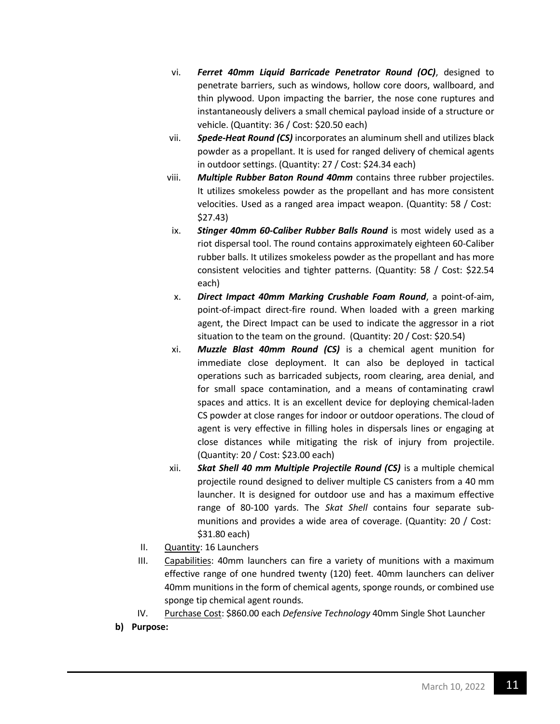- vi. *Ferret 40mm Liquid Barricade Penetrator Round (OC)*, designed to penetrate barriers, such as windows, hollow core doors, wallboard, and thin plywood. Upon impacting the barrier, the nose cone ruptures and instantaneously delivers a small chemical payload inside of a structure or vehicle. (Quantity: 36 / Cost: \$20.50 each)
- vii. *Spede-Heat Round (CS)* incorporates an aluminum shell and utilizes black powder as a propellant. It is used for ranged delivery of chemical agents in outdoor settings. (Quantity: 27 / Cost: \$24.34 each)
- viii. *Multiple Rubber Baton Round 40mm* contains three rubber projectiles. It utilizes smokeless powder as the propellant and has more consistent velocities. Used as a ranged area impact weapon. (Quantity: 58 / Cost: \$27.43)
- ix. *Stinger 40mm 60-Caliber Rubber Balls Round* is most widely used as a riot dispersal tool. The round contains approximately eighteen 60-Caliber rubber balls. It utilizes smokeless powder as the propellant and has more consistent velocities and tighter patterns. (Quantity: 58 / Cost: \$22.54 each)
- x. *Direct Impact 40mm Marking Crushable Foam Round*, a point-of-aim, point-of-impact direct-fire round. When loaded with a green marking agent, the Direct Impact can be used to indicate the aggressor in a riot situation to the team on the ground. (Quantity: 20 / Cost: \$20.54)
- xi. *Muzzle Blast 40mm Round (CS)* is a chemical agent munition for immediate close deployment. It can also be deployed in tactical operations such as barricaded subjects, room clearing, area denial, and for small space contamination, and a means of contaminating crawl spaces and attics. It is an excellent device for deploying chemical-laden CS powder at close ranges for indoor or outdoor operations. The cloud of agent is very effective in filling holes in dispersals lines or engaging at close distances while mitigating the risk of injury from projectile. (Quantity: 20 / Cost: \$23.00 each)
- xii. *Skat Shell 40 mm Multiple Projectile Round (CS)* is a multiple chemical projectile round designed to deliver multiple CS canisters from a 40 mm launcher. It is designed for outdoor use and has a maximum effective range of 80-100 yards. The *Skat Shell* contains four separate submunitions and provides a wide area of coverage. (Quantity: 20 / Cost: \$31.80 each)
- II. Quantity: 16 Launchers
- III. Capabilities: 40mm launchers can fire a variety of munitions with a maximum effective range of one hundred twenty (120) feet. 40mm launchers can deliver 40mm munitions in the form of chemical agents, sponge rounds, or combined use sponge tip chemical agent rounds.
- IV. Purchase Cost: \$860.00 each *Defensive Technology* 40mm Single Shot Launcher
- **b) Purpose:**